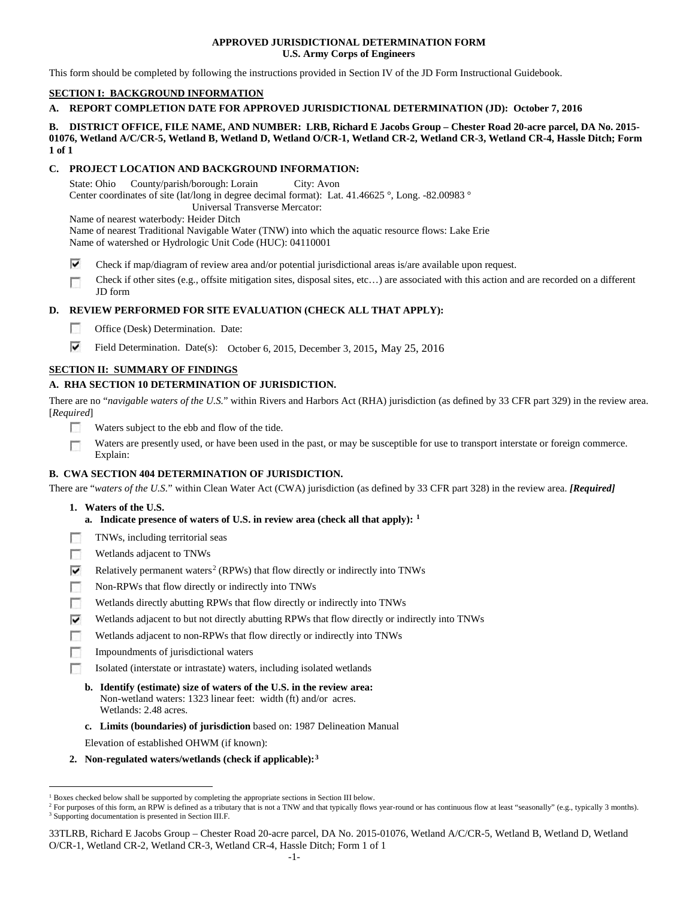### **APPROVED JURISDICTIONAL DETERMINATION FORM U.S. Army Corps of Engineers**

This form should be completed by following the instructions provided in Section IV of the JD Form Instructional Guidebook.

# **SECTION I: BACKGROUND INFORMATION**

**A. REPORT COMPLETION DATE FOR APPROVED JURISDICTIONAL DETERMINATION (JD): October 7, 2016**

### **B. DISTRICT OFFICE, FILE NAME, AND NUMBER: LRB, Richard E Jacobs Group – Chester Road 20-acre parcel, DA No. 2015- 01076, Wetland A/C/CR-5, Wetland B, Wetland D, Wetland O/CR-1, Wetland CR-2, Wetland CR-3, Wetland CR-4, Hassle Ditch; Form 1 of 1**

## **C. PROJECT LOCATION AND BACKGROUND INFORMATION:**

State: Ohio County/parish/borough: Lorain City: Avon Center coordinates of site (lat/long in degree decimal format): Lat. 41.46625 °, Long. -82.00983 ° Universal Transverse Mercator:

Name of nearest waterbody: Heider Ditch

Name of nearest Traditional Navigable Water (TNW) into which the aquatic resource flows: Lake Erie Name of watershed or Hydrologic Unit Code (HUC): 04110001

- ⊽ Check if map/diagram of review area and/or potential jurisdictional areas is/are available upon request.
- Check if other sites (e.g., offsite mitigation sites, disposal sites, etc…) are associated with this action and are recorded on a different г JD form

## **D. REVIEW PERFORMED FOR SITE EVALUATION (CHECK ALL THAT APPLY):**

- п Office (Desk) Determination. Date:
- ⊽ Field Determination. Date(s): October 6, 2015, December 3, 2015, May 25, 2016

# **SECTION II: SUMMARY OF FINDINGS**

# **A. RHA SECTION 10 DETERMINATION OF JURISDICTION.**

There are no "*navigable waters of the U.S.*" within Rivers and Harbors Act (RHA) jurisdiction (as defined by 33 CFR part 329) in the review area. [*Required*]

- T S Waters subject to the ebb and flow of the tide.
- Waters are presently used, or have been used in the past, or may be susceptible for use to transport interstate or foreign commerce. г Explain:

## **B. CWA SECTION 404 DETERMINATION OF JURISDICTION.**

There are "*waters of the U.S.*" within Clean Water Act (CWA) jurisdiction (as defined by 33 CFR part 328) in the review area. *[Required]*

- **1. Waters of the U.S.**
	- **a. Indicate presence of waters of U.S. in review area (check all that apply): [1](#page-0-0)**
- $\overline{\mathcal{L}}$ TNWs, including territorial seas
- T. Wetlands adjacent to TNWs
- ⊽ Relatively permanent waters<sup>[2](#page-0-1)</sup> (RPWs) that flow directly or indirectly into TNWs
- Non-RPWs that flow directly or indirectly into TNWs г
- п Wetlands directly abutting RPWs that flow directly or indirectly into TNWs
- ⊽ Wetlands adjacent to but not directly abutting RPWs that flow directly or indirectly into TNWs
- Wetlands adjacent to non-RPWs that flow directly or indirectly into TNWs
- Impoundments of jurisdictional waters
- Isolated (interstate or intrastate) waters, including isolated wetlands
- **b. Identify (estimate) size of waters of the U.S. in the review area:** Non-wetland waters: 1323 linear feet: width (ft) and/or acres. Wetlands: 2.48 acres.
- **c. Limits (boundaries) of jurisdiction** based on: 1987 Delineation Manual

Elevation of established OHWM (if known):

**2. Non-regulated waters/wetlands (check if applicable):[3](#page-0-2)**

<span id="page-0-0"></span><sup>&</sup>lt;sup>1</sup> Boxes checked below shall be supported by completing the appropriate sections in Section III below.

<span id="page-0-2"></span><span id="page-0-1"></span><sup>&</sup>lt;sup>2</sup> For purposes of this form, an RPW is defined as a tributary that is not a TNW and that typically flows year-round or has continuous flow at least "seasonally" (e.g., typically 3 months). <sup>3</sup> Supporting documentation is presented in Section III.F.

<sup>33</sup>TLRB, Richard E Jacobs Group – Chester Road 20-acre parcel, DA No. 2015-01076, Wetland A/C/CR-5, Wetland B, Wetland D, Wetland O/CR-1, Wetland CR-2, Wetland CR-3, Wetland CR-4, Hassle Ditch; Form 1 of 1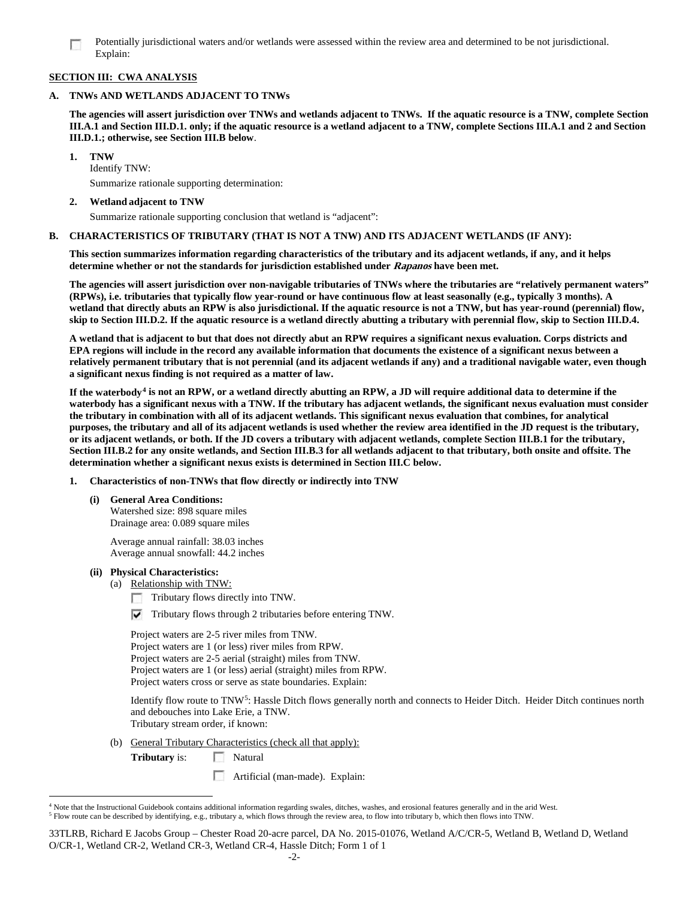Potentially jurisdictional waters and/or wetlands were assessed within the review area and determined to be not jurisdictional. Explain:

### **SECTION III: CWA ANALYSIS**

### **A. TNWs AND WETLANDS ADJACENT TO TNWs**

**The agencies will assert jurisdiction over TNWs and wetlands adjacent to TNWs. If the aquatic resource is a TNW, complete Section III.A.1 and Section III.D.1. only; if the aquatic resource is a wetland adjacent to a TNW, complete Sections III.A.1 and 2 and Section III.D.1.; otherwise, see Section III.B below**.

**1. TNW**  Identify TNW:

Summarize rationale supporting determination:

# **2. Wetland adjacent to TNW**

Summarize rationale supporting conclusion that wetland is "adjacent":

### **B. CHARACTERISTICS OF TRIBUTARY (THAT IS NOT A TNW) AND ITS ADJACENT WETLANDS (IF ANY):**

**This section summarizes information regarding characteristics of the tributary and its adjacent wetlands, if any, and it helps determine whether or not the standards for jurisdiction established under Rapanos have been met.** 

**The agencies will assert jurisdiction over non-navigable tributaries of TNWs where the tributaries are "relatively permanent waters" (RPWs), i.e. tributaries that typically flow year-round or have continuous flow at least seasonally (e.g., typically 3 months). A wetland that directly abuts an RPW is also jurisdictional. If the aquatic resource is not a TNW, but has year-round (perennial) flow, skip to Section III.D.2. If the aquatic resource is a wetland directly abutting a tributary with perennial flow, skip to Section III.D.4.**

**A wetland that is adjacent to but that does not directly abut an RPW requires a significant nexus evaluation. Corps districts and EPA regions will include in the record any available information that documents the existence of a significant nexus between a relatively permanent tributary that is not perennial (and its adjacent wetlands if any) and a traditional navigable water, even though a significant nexus finding is not required as a matter of law.**

**If the waterbody[4](#page-1-0) is not an RPW, or a wetland directly abutting an RPW, a JD will require additional data to determine if the waterbody has a significant nexus with a TNW. If the tributary has adjacent wetlands, the significant nexus evaluation must consider the tributary in combination with all of its adjacent wetlands. This significant nexus evaluation that combines, for analytical purposes, the tributary and all of its adjacent wetlands is used whether the review area identified in the JD request is the tributary, or its adjacent wetlands, or both. If the JD covers a tributary with adjacent wetlands, complete Section III.B.1 for the tributary, Section III.B.2 for any onsite wetlands, and Section III.B.3 for all wetlands adjacent to that tributary, both onsite and offsite. The determination whether a significant nexus exists is determined in Section III.C below.**

- **1. Characteristics of non-TNWs that flow directly or indirectly into TNW**
	- **(i) General Area Conditions:**

Watershed size: 898 square miles Drainage area: 0.089 square miles

Average annual rainfall: 38.03 inches Average annual snowfall: 44.2 inches

#### **(ii) Physical Characteristics:**

- (a) Relationship with TNW:
	- Tributary flows directly into TNW. п

 $\triangledown$  Tributary flows through 2 tributaries before entering TNW.

Project waters are 2-5 river miles from TNW. Project waters are 1 (or less) river miles from RPW. Project waters are 2-5 aerial (straight) miles from TNW. Project waters are 1 (or less) aerial (straight) miles from RPW. Project waters cross or serve as state boundaries. Explain:

Identify flow route to TNW[5:](#page-1-1) Hassle Ditch flows generally north and connects to Heider Ditch. Heider Ditch continues north and debouches into Lake Erie, a TNW. Tributary stream order, if known:

(b) General Tributary Characteristics (check all that apply):

**Tributary** is: Natural

Artificial (man-made). Explain:

33TLRB, Richard E Jacobs Group – Chester Road 20-acre parcel, DA No. 2015-01076, Wetland A/C/CR-5, Wetland B, Wetland D, Wetland O/CR-1, Wetland CR-2, Wetland CR-3, Wetland CR-4, Hassle Ditch; Form 1 of 1

<span id="page-1-1"></span><span id="page-1-0"></span> <sup>4</sup> Note that the Instructional Guidebook contains additional information regarding swales, ditches, washes, and erosional features generally and in the arid West. <sup>5</sup> Flow route can be described by identifying, e.g., tributary a, which flows through the review area, to flow into tributary b, which then flows into TNW.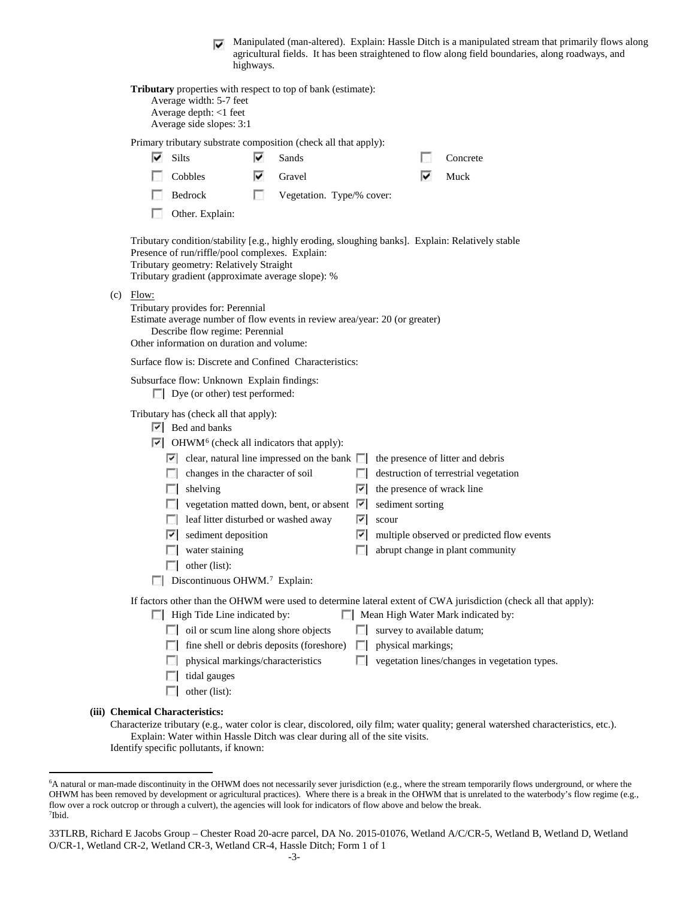Manipulated (man-altered). Explain: Hassle Ditch is a manipulated stream that primarily flows along agricultural fields. It has been straightened to flow along field boundaries, along roadways, and highways.

|                                                                                                                                                                                                                                                      | <b>Tributary</b> properties with respect to top of bank (estimate):<br>Average width: 5-7 feet<br>Average depth: <1 feet<br>Average side slopes: 3:1                                             |            |                                           |        |                            |  |                                                                                                                                                        |  |  |  |  |  |  |
|------------------------------------------------------------------------------------------------------------------------------------------------------------------------------------------------------------------------------------------------------|--------------------------------------------------------------------------------------------------------------------------------------------------------------------------------------------------|------------|-------------------------------------------|--------|----------------------------|--|--------------------------------------------------------------------------------------------------------------------------------------------------------|--|--|--|--|--|--|
|                                                                                                                                                                                                                                                      | Primary tributary substrate composition (check all that apply):                                                                                                                                  |            |                                           |        |                            |  |                                                                                                                                                        |  |  |  |  |  |  |
|                                                                                                                                                                                                                                                      | $\overline{\triangledown}$ Silts                                                                                                                                                                 | ▽          | Sands                                     |        |                            |  | Concrete                                                                                                                                               |  |  |  |  |  |  |
|                                                                                                                                                                                                                                                      | Cobbles                                                                                                                                                                                          | ▽          | Gravel                                    |        | ▽                          |  | Muck                                                                                                                                                   |  |  |  |  |  |  |
|                                                                                                                                                                                                                                                      | Bedrock                                                                                                                                                                                          | <b>For</b> | Vegetation. Type/% cover:                 |        |                            |  |                                                                                                                                                        |  |  |  |  |  |  |
|                                                                                                                                                                                                                                                      | Other. Explain:                                                                                                                                                                                  |            |                                           |        |                            |  |                                                                                                                                                        |  |  |  |  |  |  |
| Tributary condition/stability [e.g., highly eroding, sloughing banks]. Explain: Relatively stable<br>Presence of run/riffle/pool complexes. Explain:<br>Tributary geometry: Relatively Straight<br>Tributary gradient (approximate average slope): % |                                                                                                                                                                                                  |            |                                           |        |                            |  |                                                                                                                                                        |  |  |  |  |  |  |
| $(c)$ Flow:                                                                                                                                                                                                                                          | Tributary provides for: Perennial<br>Estimate average number of flow events in review area/year: 20 (or greater)<br>Describe flow regime: Perennial<br>Other information on duration and volume: |            |                                           |        |                            |  |                                                                                                                                                        |  |  |  |  |  |  |
|                                                                                                                                                                                                                                                      | Surface flow is: Discrete and Confined Characteristics:                                                                                                                                          |            |                                           |        |                            |  |                                                                                                                                                        |  |  |  |  |  |  |
| Subsurface flow: Unknown Explain findings:<br>$\Box$ Dye (or other) test performed:                                                                                                                                                                  |                                                                                                                                                                                                  |            |                                           |        |                            |  |                                                                                                                                                        |  |  |  |  |  |  |
| Tributary has (check all that apply):<br>$ \nabla $ Bed and banks                                                                                                                                                                                    |                                                                                                                                                                                                  |            |                                           |        |                            |  |                                                                                                                                                        |  |  |  |  |  |  |
| $\triangleright$ OHWM <sup>6</sup> (check all indicators that apply):<br>$\vert \cdot \vert$ clear, natural line impressed on the bank $\vert \cdot \vert$<br>the presence of litter and debris                                                      |                                                                                                                                                                                                  |            |                                           |        |                            |  |                                                                                                                                                        |  |  |  |  |  |  |
|                                                                                                                                                                                                                                                      | changes in the character of soil                                                                                                                                                                 |            |                                           |        |                            |  | destruction of terrestrial vegetation                                                                                                                  |  |  |  |  |  |  |
|                                                                                                                                                                                                                                                      | shelving<br><b>1999</b>                                                                                                                                                                          |            |                                           | ×.     | the presence of wrack line |  |                                                                                                                                                        |  |  |  |  |  |  |
|                                                                                                                                                                                                                                                      | vegetation matted down, bent, or absent                                                                                                                                                          |            |                                           | M      | sediment sorting           |  |                                                                                                                                                        |  |  |  |  |  |  |
|                                                                                                                                                                                                                                                      | $\Box$ leaf litter disturbed or washed away                                                                                                                                                      |            |                                           | 罓      | scour                      |  |                                                                                                                                                        |  |  |  |  |  |  |
|                                                                                                                                                                                                                                                      | sediment deposition<br>v.                                                                                                                                                                        |            |                                           | ⊽      |                            |  | multiple observed or predicted flow events                                                                                                             |  |  |  |  |  |  |
|                                                                                                                                                                                                                                                      | water staining                                                                                                                                                                                   |            |                                           | п      |                            |  | abrupt change in plant community                                                                                                                       |  |  |  |  |  |  |
|                                                                                                                                                                                                                                                      | other (list):                                                                                                                                                                                    |            |                                           |        |                            |  |                                                                                                                                                        |  |  |  |  |  |  |
| Discontinuous OHWM. <sup>7</sup> Explain:                                                                                                                                                                                                            |                                                                                                                                                                                                  |            |                                           |        |                            |  |                                                                                                                                                        |  |  |  |  |  |  |
|                                                                                                                                                                                                                                                      | High Tide Line indicated by:                                                                                                                                                                     |            |                                           |        |                            |  | If factors other than the OHWM were used to determine lateral extent of CWA jurisdiction (check all that apply):<br>Mean High Water Mark indicated by: |  |  |  |  |  |  |
|                                                                                                                                                                                                                                                      | oil or scum line along shore objects                                                                                                                                                             |            |                                           |        | survey to available datum; |  |                                                                                                                                                        |  |  |  |  |  |  |
|                                                                                                                                                                                                                                                      |                                                                                                                                                                                                  |            | fine shell or debris deposits (foreshore) | $\sim$ | physical markings;         |  |                                                                                                                                                        |  |  |  |  |  |  |
|                                                                                                                                                                                                                                                      | physical markings/characteristics                                                                                                                                                                |            |                                           | п      |                            |  | vegetation lines/changes in vegetation types.                                                                                                          |  |  |  |  |  |  |
|                                                                                                                                                                                                                                                      | tidal gauges                                                                                                                                                                                     |            |                                           |        |                            |  |                                                                                                                                                        |  |  |  |  |  |  |
|                                                                                                                                                                                                                                                      | other (list):                                                                                                                                                                                    |            |                                           |        |                            |  |                                                                                                                                                        |  |  |  |  |  |  |
|                                                                                                                                                                                                                                                      | (iii) Chemical Characteristics:                                                                                                                                                                  |            |                                           |        |                            |  | Characterize tributary (e.g. water color is clear discolored oily film; water quality; general watershed characteristics, etc.)                        |  |  |  |  |  |  |

Characterize tributary (e.g., water color is clear, discolored, oily film; water quality; general watershed characteristics, etc.). Explain: Water within Hassle Ditch was clear during all of the site visits. Identify specific pollutants, if known:

<span id="page-2-0"></span> <sup>6</sup> <sup>6</sup>A natural or man-made discontinuity in the OHWM does not necessarily sever jurisdiction (e.g., where the stream temporarily flows underground, or where the OHWM has been removed by development or agricultural practices). Where there is a break in the OHWM that is unrelated to the waterbody's flow regime (e.g., flow over a rock outcrop or through a culvert), the agencies will look for indicators of flow above and below the break. 7 Ibid.

<span id="page-2-1"></span><sup>33</sup>TLRB, Richard E Jacobs Group – Chester Road 20-acre parcel, DA No. 2015-01076, Wetland A/C/CR-5, Wetland B, Wetland D, Wetland O/CR-1, Wetland CR-2, Wetland CR-3, Wetland CR-4, Hassle Ditch; Form 1 of 1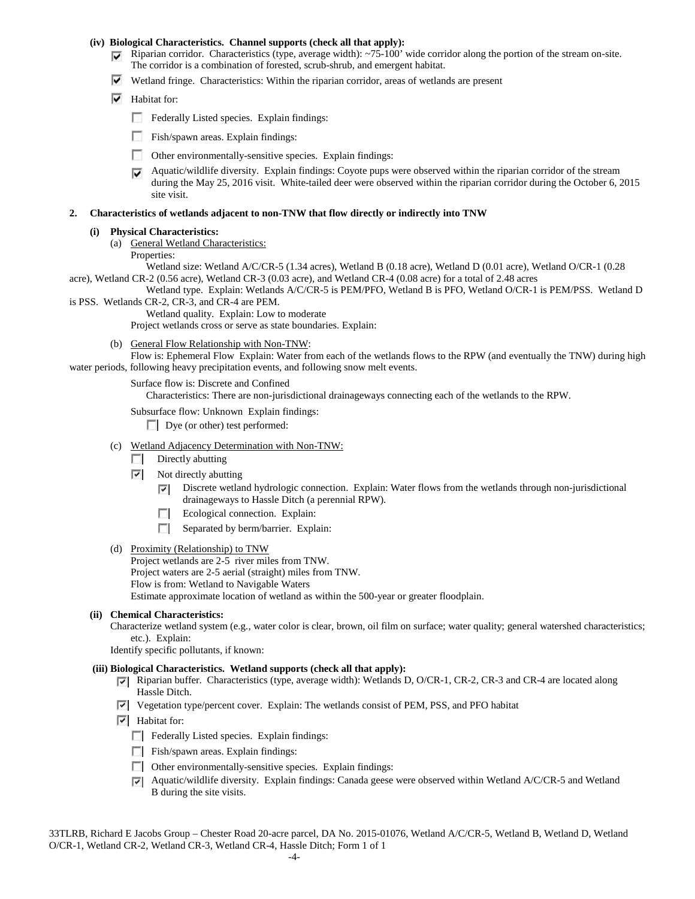### **(iv) Biological Characteristics. Channel supports (check all that apply):**

- Riparian corridor. Characteristics (type, average width):  $\sim$ 75-100' wide corridor along the portion of the stream on-site. The corridor is a combination of forested, scrub-shrub, and emergent habitat.
- $\triangledown$  Wetland fringe. Characteristics: Within the riparian corridor, areas of wetlands are present
- $\overline{\triangledown}$  Habitat for:
	- Federally Listed species. Explain findings:
	- **Fish/spawn areas. Explain findings:**
	- Other environmentally-sensitive species. Explain findings:
	- Aquatic/wildlife diversity. Explain findings: Coyote pups were observed within the riparian corridor of the stream during the May 25, 2016 visit. White-tailed deer were observed within the riparian corridor during the October 6, 2015 site visit.

### **2. Characteristics of wetlands adjacent to non-TNW that flow directly or indirectly into TNW**

### **(i) Physical Characteristics:**

- (a) General Wetland Characteristics:
	- Properties:

Wetland size: Wetland A/C/CR-5 (1.34 acres), Wetland B (0.18 acre), Wetland D (0.01 acre), Wetland O/CR-1 (0.28 acre), Wetland CR-2 (0.56 acre), Wetland CR-3 (0.03 acre), and Wetland CR-4 (0.08 acre) for a total of 2.48 acres

Wetland type. Explain: Wetlands A/C/CR-5 is PEM/PFO, Wetland B is PFO, Wetland O/CR-1 is PEM/PSS. Wetland D is PSS. Wetlands CR-2, CR-3, and CR-4 are PEM.

Wetland quality. Explain: Low to moderate

Project wetlands cross or serve as state boundaries. Explain:

(b) General Flow Relationship with Non-TNW:

Flow is: Ephemeral Flow Explain: Water from each of the wetlands flows to the RPW (and eventually the TNW) during high water periods, following heavy precipitation events, and following snow melt events.

#### Surface flow is: Discrete and Confined

Characteristics: There are non-jurisdictional drainageways connecting each of the wetlands to the RPW.

Subsurface flow: Unknown Explain findings:

Dye (or other) test performed:

- (c) Wetland Adjacency Determination with Non-TNW:
	- $\Box$  Directly abutting
	- $\overline{\phantom{a}}$ Not directly abutting
		- Discrete wetland hydrologic connection. Explain: Water flows from the wetlands through non-jurisdictional  $\overline{ }$ drainageways to Hassle Ditch (a perennial RPW).
		- $\overline{a}$ Ecological connection. Explain:
		- $\Box$ Separated by berm/barrier. Explain:
- (d) Proximity (Relationship) to TNW

Project wetlands are 2-5 river miles from TNW. Project waters are 2-5 aerial (straight) miles from TNW. Flow is from: Wetland to Navigable Waters Estimate approximate location of wetland as within the 500-year or greater floodplain.

### **(ii) Chemical Characteristics:**

Characterize wetland system (e.g., water color is clear, brown, oil film on surface; water quality; general watershed characteristics; etc.). Explain:

Identify specific pollutants, if known:

## **(iii) Biological Characteristics. Wetland supports (check all that apply):**

- Riparian buffer. Characteristics (type, average width): Wetlands D, O/CR-1, CR-2, CR-3 and CR-4 are located along Hassle Ditch.
- Vegetation type/percent cover. Explain: The wetlands consist of PEM, PSS, and PFO habitat
- $\overline{\triangledown}$  Habitat for:
	- Federally Listed species. Explain findings:
	- Fish/spawn areas. Explain findings:
	- Other environmentally-sensitive species. Explain findings:
	- Aquatic/wildlife diversity. Explain findings: Canada geese were observed within Wetland A/C/CR-5 and Wetland B during the site visits.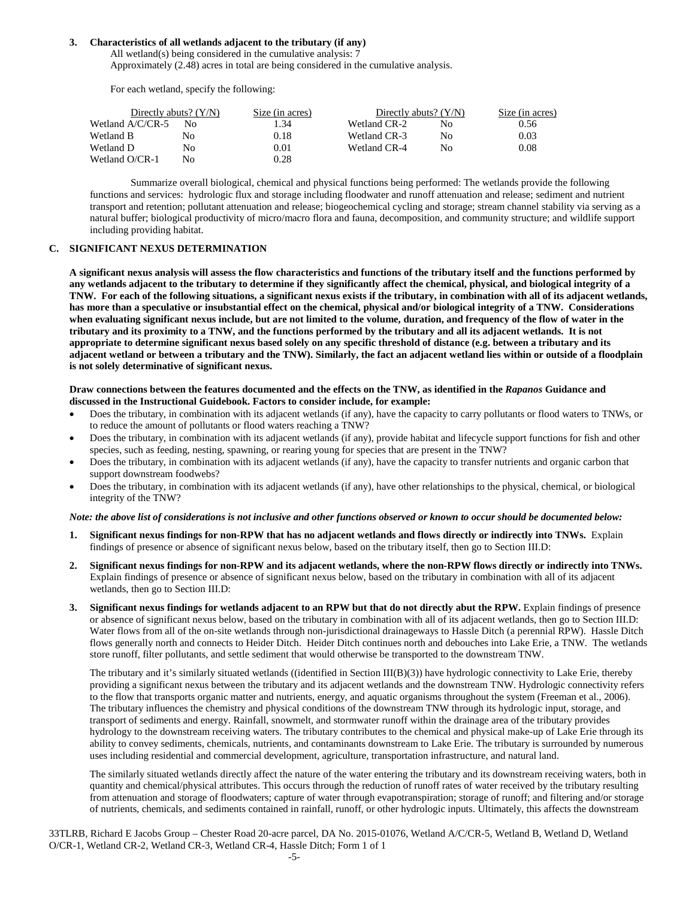### **3. Characteristics of all wetlands adjacent to the tributary (if any)**

All wetland(s) being considered in the cumulative analysis: 7 Approximately (2.48) acres in total are being considered in the cumulative analysis.

For each wetland, specify the following:

| Directly abuts? $(Y/N)$ |    | Size (in acres) | Directly abuts? $(Y/N)$ | Size (in acres) |      |
|-------------------------|----|-----------------|-------------------------|-----------------|------|
| Wetland A/C/CR-5        | Nο | I .34           | Wetland CR-2            | Nο              | 0.56 |
| Wetland B               | No | 0.18            | Wetland CR-3            | Nο              | 0.03 |
| Wetland D               | No | 0.01            | Wetland CR-4            | Nο              | 0.08 |
| Wetland O/CR-1          | No | 0.28            |                         |                 |      |

Summarize overall biological, chemical and physical functions being performed: The wetlands provide the following functions and services: hydrologic flux and storage including floodwater and runoff attenuation and release; sediment and nutrient transport and retention; pollutant attenuation and release; biogeochemical cycling and storage; stream channel stability via serving as a natural buffer; biological productivity of micro/macro flora and fauna, decomposition, and community structure; and wildlife support including providing habitat.

### **C. SIGNIFICANT NEXUS DETERMINATION**

**A significant nexus analysis will assess the flow characteristics and functions of the tributary itself and the functions performed by any wetlands adjacent to the tributary to determine if they significantly affect the chemical, physical, and biological integrity of a TNW. For each of the following situations, a significant nexus exists if the tributary, in combination with all of its adjacent wetlands, has more than a speculative or insubstantial effect on the chemical, physical and/or biological integrity of a TNW. Considerations when evaluating significant nexus include, but are not limited to the volume, duration, and frequency of the flow of water in the tributary and its proximity to a TNW, and the functions performed by the tributary and all its adjacent wetlands. It is not appropriate to determine significant nexus based solely on any specific threshold of distance (e.g. between a tributary and its adjacent wetland or between a tributary and the TNW). Similarly, the fact an adjacent wetland lies within or outside of a floodplain is not solely determinative of significant nexus.** 

### **Draw connections between the features documented and the effects on the TNW, as identified in the** *Rapanos* **Guidance and discussed in the Instructional Guidebook. Factors to consider include, for example:**

- Does the tributary, in combination with its adjacent wetlands (if any), have the capacity to carry pollutants or flood waters to TNWs, or to reduce the amount of pollutants or flood waters reaching a TNW?
- Does the tributary, in combination with its adjacent wetlands (if any), provide habitat and lifecycle support functions for fish and other species, such as feeding, nesting, spawning, or rearing young for species that are present in the TNW?
- Does the tributary, in combination with its adjacent wetlands (if any), have the capacity to transfer nutrients and organic carbon that support downstream foodwebs?
- Does the tributary, in combination with its adjacent wetlands (if any), have other relationships to the physical, chemical, or biological integrity of the TNW?

#### *Note: the above list of considerations is not inclusive and other functions observed or known to occur should be documented below:*

- **1. Significant nexus findings for non-RPW that has no adjacent wetlands and flows directly or indirectly into TNWs.** Explain findings of presence or absence of significant nexus below, based on the tributary itself, then go to Section III.D:
- **2. Significant nexus findings for non-RPW and its adjacent wetlands, where the non-RPW flows directly or indirectly into TNWs.**  Explain findings of presence or absence of significant nexus below, based on the tributary in combination with all of its adjacent wetlands, then go to Section III.D:
- **3. Significant nexus findings for wetlands adjacent to an RPW but that do not directly abut the RPW.** Explain findings of presence or absence of significant nexus below, based on the tributary in combination with all of its adjacent wetlands, then go to Section III.D: Water flows from all of the on-site wetlands through non-jurisdictional drainageways to Hassle Ditch (a perennial RPW). Hassle Ditch flows generally north and connects to Heider Ditch. Heider Ditch continues north and debouches into Lake Erie, a TNW. The wetlands store runoff, filter pollutants, and settle sediment that would otherwise be transported to the downstream TNW.

The tributary and it's similarly situated wetlands ((identified in Section III(B)(3)) have hydrologic connectivity to Lake Erie, thereby providing a significant nexus between the tributary and its adjacent wetlands and the downstream TNW. Hydrologic connectivity refers to the flow that transports organic matter and nutrients, energy, and aquatic organisms throughout the system (Freeman et al., 2006). The tributary influences the chemistry and physical conditions of the downstream TNW through its hydrologic input, storage, and transport of sediments and energy. Rainfall, snowmelt, and stormwater runoff within the drainage area of the tributary provides hydrology to the downstream receiving waters. The tributary contributes to the chemical and physical make-up of Lake Erie through its ability to convey sediments, chemicals, nutrients, and contaminants downstream to Lake Erie. The tributary is surrounded by numerous uses including residential and commercial development, agriculture, transportation infrastructure, and natural land.

The similarly situated wetlands directly affect the nature of the water entering the tributary and its downstream receiving waters, both in quantity and chemical/physical attributes. This occurs through the reduction of runoff rates of water received by the tributary resulting from attenuation and storage of floodwaters; capture of water through evapotranspiration; storage of runoff; and filtering and/or storage of nutrients, chemicals, and sediments contained in rainfall, runoff, or other hydrologic inputs. Ultimately, this affects the downstream

33TLRB, Richard E Jacobs Group – Chester Road 20-acre parcel, DA No. 2015-01076, Wetland A/C/CR-5, Wetland B, Wetland D, Wetland O/CR-1, Wetland CR-2, Wetland CR-3, Wetland CR-4, Hassle Ditch; Form 1 of 1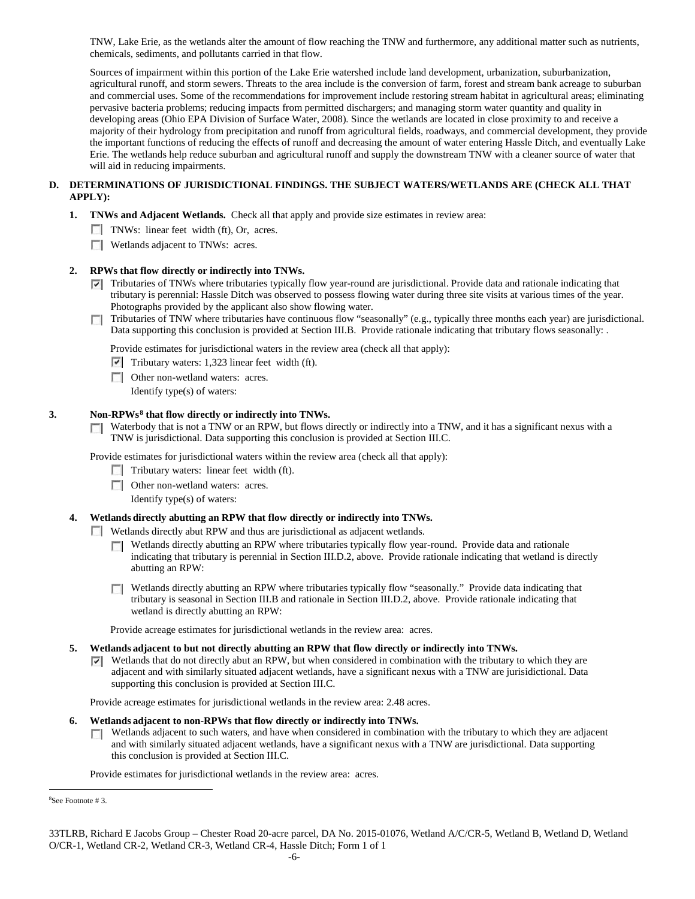TNW, Lake Erie, as the wetlands alter the amount of flow reaching the TNW and furthermore, any additional matter such as nutrients, chemicals, sediments, and pollutants carried in that flow.

Sources of impairment within this portion of the Lake Erie watershed include land development, urbanization, suburbanization, agricultural runoff, and storm sewers. Threats to the area include is the conversion of farm, forest and stream bank acreage to suburban and commercial uses. Some of the recommendations for improvement include restoring stream habitat in agricultural areas; eliminating pervasive bacteria problems; reducing impacts from permitted dischargers; and managing storm water quantity and quality in developing areas (Ohio EPA Division of Surface Water, 2008). Since the wetlands are located in close proximity to and receive a majority of their hydrology from precipitation and runoff from agricultural fields, roadways, and commercial development, they provide the important functions of reducing the effects of runoff and decreasing the amount of water entering Hassle Ditch, and eventually Lake Erie. The wetlands help reduce suburban and agricultural runoff and supply the downstream TNW with a cleaner source of water that will aid in reducing impairments.

## **D. DETERMINATIONS OF JURISDICTIONAL FINDINGS. THE SUBJECT WATERS/WETLANDS ARE (CHECK ALL THAT APPLY):**

- **1. TNWs and Adjacent Wetlands.** Check all that apply and provide size estimates in review area:
	- TNWs: linear feet width (ft), Or, acres.
	- **Wetlands adjacent to TNWs: acres.**

### **2. RPWs that flow directly or indirectly into TNWs.**

- $\nabla$  Tributaries of TNWs where tributaries typically flow year-round are jurisdictional. Provide data and rationale indicating that tributary is perennial: Hassle Ditch was observed to possess flowing water during three site visits at various times of the year. Photographs provided by the applicant also show flowing water.
- Tributaries of TNW where tributaries have continuous flow "seasonally" (e.g., typically three months each year) are jurisdictional. Data supporting this conclusion is provided at Section III.B. Provide rationale indicating that tributary flows seasonally: .

Provide estimates for jurisdictional waters in the review area (check all that apply):

- $\triangledown$  Tributary waters: 1,323 linear feet width (ft).
- **Other non-wetland waters: acres.** 
	- Identify type(s) of waters:

### **3. Non-RPWs[8](#page-5-0) that flow directly or indirectly into TNWs.**

 $\Box$  Waterbody that is not a TNW or an RPW, but flows directly or indirectly into a TNW, and it has a significant nexus with a TNW is jurisdictional. Data supporting this conclusion is provided at Section III.C.

Provide estimates for jurisdictional waters within the review area (check all that apply):

- $\Box$  Tributary waters: linear feet width (ft).
- **Other non-wetland waters: acres.**
- Identify type(s) of waters:

### **4. Wetlands directly abutting an RPW that flow directly or indirectly into TNWs.**

- Wetlands directly abut RPW and thus are jurisdictional as adjacent wetlands.
	- **Netlands directly abutting an RPW where tributaries typically flow year-round. Provide data and rationale** indicating that tributary is perennial in Section III.D.2, above. Provide rationale indicating that wetland is directly abutting an RPW:
	- Wetlands directly abutting an RPW where tributaries typically flow "seasonally." Provide data indicating that tributary is seasonal in Section III.B and rationale in Section III.D.2, above. Provide rationale indicating that wetland is directly abutting an RPW:

Provide acreage estimates for jurisdictional wetlands in the review area: acres.

- **5. Wetlands adjacent to but not directly abutting an RPW that flow directly or indirectly into TNWs.**
	- $\overline{v}$  Wetlands that do not directly abut an RPW, but when considered in combination with the tributary to which they are adjacent and with similarly situated adjacent wetlands, have a significant nexus with a TNW are jurisidictional. Data supporting this conclusion is provided at Section III.C.

Provide acreage estimates for jurisdictional wetlands in the review area: 2.48 acres.

#### **6. Wetlands adjacent to non-RPWs that flow directly or indirectly into TNWs.**

**Netlands adjacent to such waters, and have when considered in combination with the tributary to which they are adjacent** and with similarly situated adjacent wetlands, have a significant nexus with a TNW are jurisdictional. Data supporting this conclusion is provided at Section III.C.

Provide estimates for jurisdictional wetlands in the review area: acres.

<span id="page-5-0"></span> $\frac{1}{8}$ See Footnote # 3.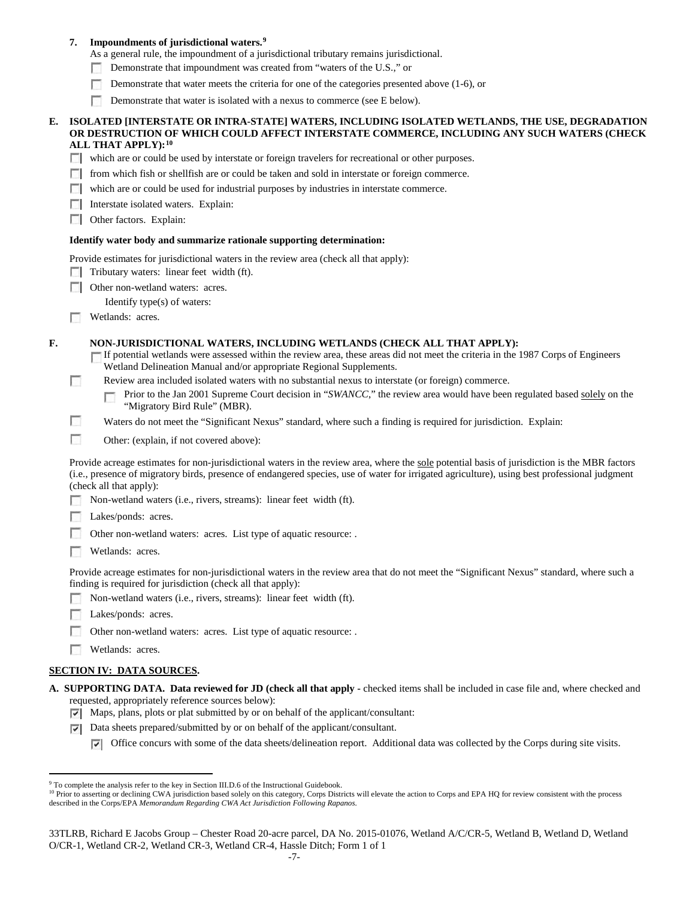### **7. Impoundments of jurisdictional waters. [9](#page-6-0)**

As a general rule, the impoundment of a jurisdictional tributary remains jurisdictional.

- Demonstrate that impoundment was created from "waters of the U.S.," or n
- Demonstrate that water meets the criteria for one of the categories presented above (1-6), or
- n Demonstrate that water is isolated with a nexus to commerce (see E below).

#### **E. ISOLATED [INTERSTATE OR INTRA-STATE] WATERS, INCLUDING ISOLATED WETLANDS, THE USE, DEGRADATION OR DESTRUCTION OF WHICH COULD AFFECT INTERSTATE COMMERCE, INCLUDING ANY SUCH WATERS (CHECK ALL THAT APPLY):[10](#page-6-1)**

which are or could be used by interstate or foreign travelers for recreational or other purposes.

- $\Box$  from which fish or shellfish are or could be taken and sold in interstate or foreign commerce.
- $\Box$  which are or could be used for industrial purposes by industries in interstate commerce.
- **Interstate isolated waters. Explain:**
- **C** Other factors. Explain:

#### **Identify water body and summarize rationale supporting determination:**

Provide estimates for jurisdictional waters in the review area (check all that apply):

- $\Box$  Tributary waters: linear feet width (ft).
- **Other non-wetland waters: acres.**

Identify type(s) of waters:

**Wetlands: acres.** 

### **F. NON-JURISDICTIONAL WATERS, INCLUDING WETLANDS (CHECK ALL THAT APPLY):**

- If potential wetlands were assessed within the review area, these areas did not meet the criteria in the 1987 Corps of Engineers Г Wetland Delineation Manual and/or appropriate Regional Supplements.
- п Review area included isolated waters with no substantial nexus to interstate (or foreign) commerce.

Prior to the Jan 2001 Supreme Court decision in "*SWANCC*," the review area would have been regulated based solely on the п "Migratory Bird Rule" (MBR).

- n Waters do not meet the "Significant Nexus" standard, where such a finding is required for jurisdiction. Explain:
- n Other: (explain, if not covered above):

Provide acreage estimates for non-jurisdictional waters in the review area, where the sole potential basis of jurisdiction is the MBR factors (i.e., presence of migratory birds, presence of endangered species, use of water for irrigated agriculture), using best professional judgment (check all that apply):

- Non-wetland waters (i.e., rivers, streams): linear feet width (ft).
- Lakes/ponds: acres.
- Other non-wetland waters: acres. List type of aquatic resource: .
- Wetlands: acres.

Provide acreage estimates for non-jurisdictional waters in the review area that do not meet the "Significant Nexus" standard, where such a finding is required for jurisdiction (check all that apply):

- Non-wetland waters (i.e., rivers, streams): linear feet width (ft).
- Lakes/ponds: acres.
- Other non-wetland waters: acres. List type of aquatic resource: .
- Wetlands: acres.

#### **SECTION IV: DATA SOURCES.**

- **A. SUPPORTING DATA. Data reviewed for JD (check all that apply -** checked items shall be included in case file and, where checked and requested, appropriately reference sources below):
	- Maps, plans, plots or plat submitted by or on behalf of the applicant/consultant:
	- $\nabla$  Data sheets prepared/submitted by or on behalf of the applicant/consultant.
		- $\nabla$  Office concurs with some of the data sheets/delineation report. Additional data was collected by the Corps during site visits.

<span id="page-6-0"></span><sup>&</sup>lt;sup>9</sup> To complete the analysis refer to the key in Section III.D.6 of the Instructional Guidebook.

<span id="page-6-1"></span><sup>&</sup>lt;sup>10</sup> Prior to asserting or declining CWA jurisdiction based solely on this category, Corps Districts will elevate the action to Corps and EPA HQ for review consistent with the process described in the Corps/EPA *Memorandum Regarding CWA Act Jurisdiction Following Rapanos.*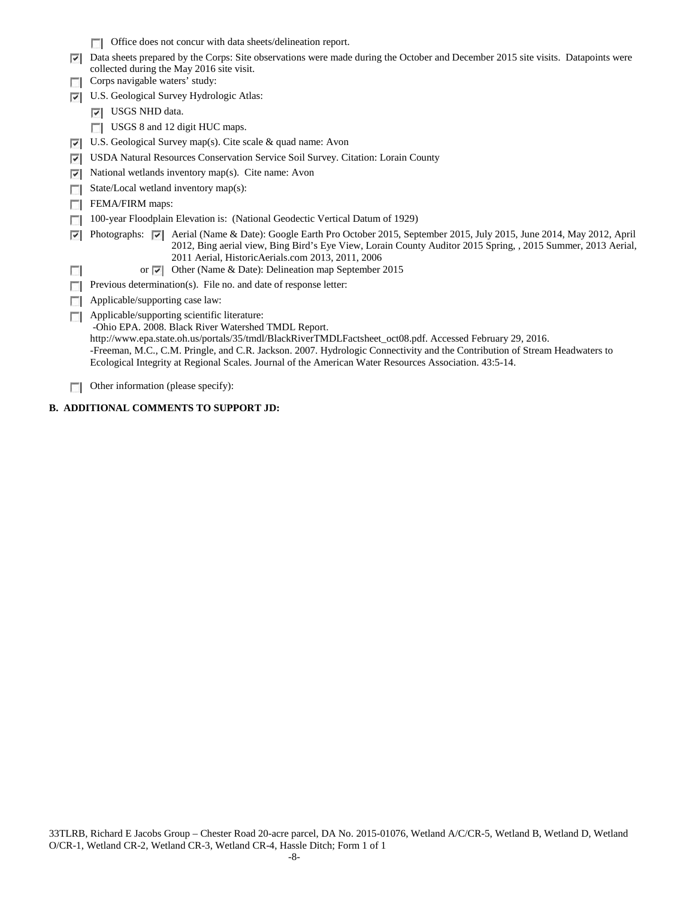|    | Office does not concur with data sheets/delineation report.                                                                                                                                                                                                                                                                                                                                                                                              |  |  |  |  |  |  |  |
|----|----------------------------------------------------------------------------------------------------------------------------------------------------------------------------------------------------------------------------------------------------------------------------------------------------------------------------------------------------------------------------------------------------------------------------------------------------------|--|--|--|--|--|--|--|
| ⊽  | Data sheets prepared by the Corps: Site observations were made during the October and December 2015 site visits. Datapoints were                                                                                                                                                                                                                                                                                                                         |  |  |  |  |  |  |  |
|    | collected during the May 2016 site visit.<br>Corps navigable waters' study:                                                                                                                                                                                                                                                                                                                                                                              |  |  |  |  |  |  |  |
| ⊽  | U.S. Geological Survey Hydrologic Atlas:                                                                                                                                                                                                                                                                                                                                                                                                                 |  |  |  |  |  |  |  |
|    | $ \nabla $ USGS NHD data.                                                                                                                                                                                                                                                                                                                                                                                                                                |  |  |  |  |  |  |  |
|    | USGS 8 and 12 digit HUC maps.                                                                                                                                                                                                                                                                                                                                                                                                                            |  |  |  |  |  |  |  |
| ⇂  | U.S. Geological Survey map(s). Cite scale $\&$ quad name: Avon                                                                                                                                                                                                                                                                                                                                                                                           |  |  |  |  |  |  |  |
| ⊽  | USDA Natural Resources Conservation Service Soil Survey. Citation: Lorain County                                                                                                                                                                                                                                                                                                                                                                         |  |  |  |  |  |  |  |
| ⊽  | National wetlands inventory map(s). Cite name: Avon                                                                                                                                                                                                                                                                                                                                                                                                      |  |  |  |  |  |  |  |
|    | State/Local wetland inventory map(s):                                                                                                                                                                                                                                                                                                                                                                                                                    |  |  |  |  |  |  |  |
|    | FEMA/FIRM maps:                                                                                                                                                                                                                                                                                                                                                                                                                                          |  |  |  |  |  |  |  |
|    | 100-year Floodplain Elevation is: (National Geodectic Vertical Datum of 1929)                                                                                                                                                                                                                                                                                                                                                                            |  |  |  |  |  |  |  |
| ⊽  | Aerial (Name & Date): Google Earth Pro October 2015, September 2015, July 2015, June 2014, May 2012, April<br>Photographs: $\nabla$<br>2012, Bing aerial view, Bing Bird's Eye View, Lorain County Auditor 2015 Spring, 2015 Summer, 2013 Aerial,<br>2011 Aerial, HistoricAerials.com 2013, 2011, 2006                                                                                                                                                   |  |  |  |  |  |  |  |
| L. | Other (Name & Date): Delineation map September 2015<br>or $\overline{\mathbf{v}}$                                                                                                                                                                                                                                                                                                                                                                        |  |  |  |  |  |  |  |
|    | Previous determination(s). File no. and date of response letter:                                                                                                                                                                                                                                                                                                                                                                                         |  |  |  |  |  |  |  |
|    | Applicable/supporting case law:                                                                                                                                                                                                                                                                                                                                                                                                                          |  |  |  |  |  |  |  |
| L. | Applicable/supporting scientific literature:<br>-Ohio EPA. 2008. Black River Watershed TMDL Report.<br>http://www.epa.state.oh.us/portals/35/tmdl/BlackRiverTMDLFactsheet_oct08.pdf. Accessed February 29, 2016.<br>-Freeman, M.C., C.M. Pringle, and C.R. Jackson. 2007. Hydrologic Connectivity and the Contribution of Stream Headwaters to<br>Ecological Integrity at Regional Scales. Journal of the American Water Resources Association. 43:5-14. |  |  |  |  |  |  |  |

Other information (please specify):

# **B. ADDITIONAL COMMENTS TO SUPPORT JD:**